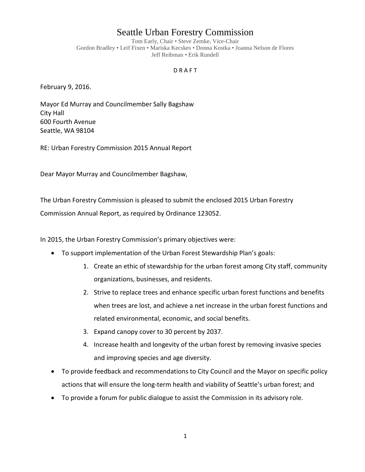## Seattle Urban Forestry Commission

Tom Early, Chair • Steve Zemke, Vice-Chair Gordon Bradley • Leif Fixen • Mariska Kecskes • Donna Kostka • Joanna Nelson de Flores Jeff Reibman • Erik Rundell

## D R A F T

February 9, 2016.

Mayor Ed Murray and Councilmember Sally Bagshaw City Hall 600 Fourth Avenue Seattle, WA 98104

RE: Urban Forestry Commission 2015 Annual Report

Dear Mayor Murray and Councilmember Bagshaw,

The Urban Forestry Commission is pleased to submit the enclosed 2015 Urban Forestry

Commission Annual Report, as required by Ordinance 123052.

In 2015, the Urban Forestry Commission's primary objectives were:

- To support implementation of the Urban Forest Stewardship Plan's goals:
	- 1. Create an ethic of stewardship for the urban forest among City staff, community organizations, businesses, and residents.
	- 2. Strive to replace trees and enhance specific urban forest functions and benefits when trees are lost, and achieve a net increase in the urban forest functions and related environmental, economic, and social benefits.
	- 3. Expand canopy cover to 30 percent by 2037.
	- 4. Increase health and longevity of the urban forest by removing invasive species and improving species and age diversity.
- To provide feedback and recommendations to City Council and the Mayor on specific policy actions that will ensure the long-term health and viability of Seattle's urban forest; and
- To provide a forum for public dialogue to assist the Commission in its advisory role.